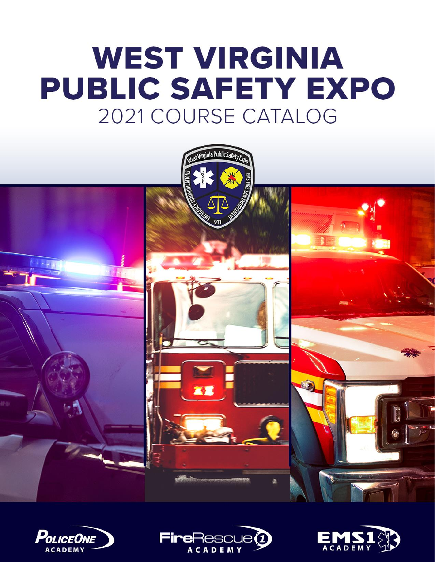# **WEST VIRGINIA PUBLIC SAFETY EXPO** 2021 COURSE CATALOG







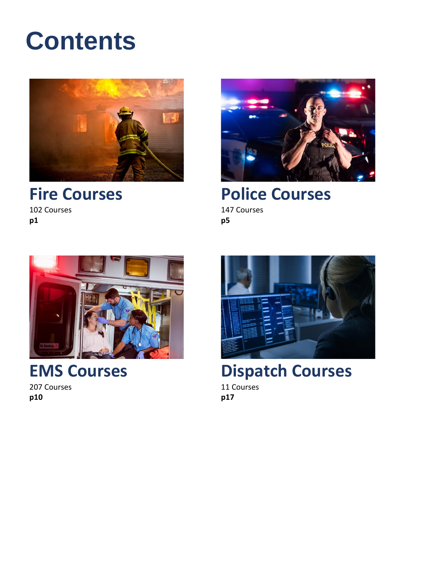## **Contents**



**[Fire Courses](#page-2-0)** 102 Courses

**[p1](#page-2-0)**



**Police [Courses](#page-6-0)** 147 Courses

**[p5](#page-6-0)**



**[EMS Courses](#page-11-0)** 207 Courses

**[p10](#page-11-0)**



**[Dispatch](#page-18-0) Courses** 11 Courses

**[p17](#page-18-0)**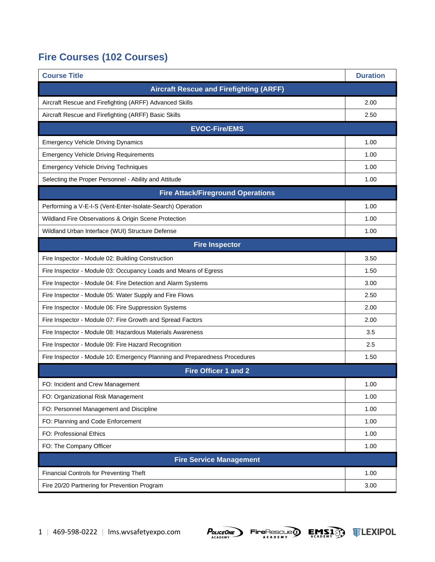### <span id="page-2-0"></span>**Fire Courses (102 Courses)**

| <b>Course Title</b>                                                        | <b>Duration</b> |
|----------------------------------------------------------------------------|-----------------|
| <b>Aircraft Rescue and Firefighting (ARFF)</b>                             |                 |
| Aircraft Rescue and Firefighting (ARFF) Advanced Skills                    | 2.00            |
| Aircraft Rescue and Firefighting (ARFF) Basic Skills                       | 2.50            |
| <b>EVOC-Fire/EMS</b>                                                       |                 |
| <b>Emergency Vehicle Driving Dynamics</b>                                  | 1.00            |
| <b>Emergency Vehicle Driving Requirements</b>                              | 1.00            |
| <b>Emergency Vehicle Driving Techniques</b>                                | 1.00            |
| Selecting the Proper Personnel - Ability and Attitude                      | 1.00            |
| <b>Fire Attack/Fireground Operations</b>                                   |                 |
| Performing a V-E-I-S (Vent-Enter-Isolate-Search) Operation                 | 1.00            |
| Wildland Fire Observations & Origin Scene Protection                       | 1.00            |
| Wildland Urban Interface (WUI) Structure Defense                           | 1.00            |
| <b>Fire Inspector</b>                                                      |                 |
| Fire Inspector - Module 02: Building Construction                          | 3.50            |
| Fire Inspector - Module 03: Occupancy Loads and Means of Egress            | 1.50            |
| Fire Inspector - Module 04: Fire Detection and Alarm Systems               | 3.00            |
| Fire Inspector - Module 05: Water Supply and Fire Flows                    | 2.50            |
| Fire Inspector - Module 06: Fire Suppression Systems                       | 2.00            |
| Fire Inspector - Module 07: Fire Growth and Spread Factors                 | 2.00            |
| Fire Inspector - Module 08: Hazardous Materials Awareness                  | 3.5             |
| Fire Inspector - Module 09: Fire Hazard Recognition                        | 2.5             |
| Fire Inspector - Module 10: Emergency Planning and Preparedness Procedures | 1.50            |
| <b>Fire Officer 1 and 2</b>                                                |                 |
| FO: Incident and Crew Management                                           | 1.00            |
| FO: Organizational Risk Management                                         | 1.00            |
| FO: Personnel Management and Discipline                                    | 1.00            |
| FO: Planning and Code Enforcement                                          | 1.00            |
| FO: Professional Ethics                                                    | 1.00            |
| FO: The Company Officer                                                    | 1.00            |
| <b>Fire Service Management</b>                                             |                 |
| <b>Financial Controls for Preventing Theft</b>                             | 1.00            |
| Fire 20/20 Partnering for Prevention Program                               | 3.00            |





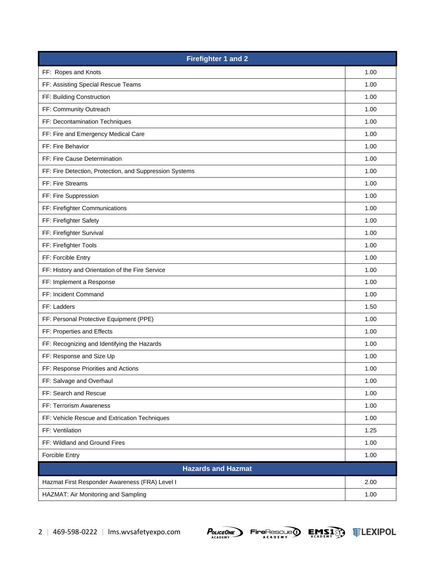| <b>Firefighter 1 and 2</b>                              |      |
|---------------------------------------------------------|------|
| FF: Ropes and Knots                                     | 1.00 |
| FF: Assisting Special Rescue Teams                      | 1.00 |
| FF: Building Construction                               | 1.00 |
| FF: Community Outreach                                  | 1.00 |
| FF: Decontamination Techniques                          | 1.00 |
| FF: Fire and Emergency Medical Care                     | 1.00 |
| FF: Fire Behavior                                       | 1.00 |
| FF: Fire Cause Determination                            | 1.00 |
| FF: Fire Detection, Protection, and Suppression Systems | 1.00 |
| FF: Fire Streams                                        | 1.00 |
| FF: Fire Suppression                                    | 1.00 |
| FF: Firefighter Communications                          | 1.00 |
| FF: Firefighter Safety                                  | 1.00 |
| FF: Firefighter Survival                                | 1.00 |
| FF: Firefighter Tools                                   | 1.00 |
| FF: Forcible Entry                                      | 1.00 |
| FF: History and Orientation of the Fire Service         | 1.00 |
| FF: Implement a Response                                | 1.00 |
| FF: Incident Command                                    | 1.00 |
| FF: Ladders                                             | 1.50 |
| FF: Personal Protective Equipment (PPE)                 | 1.00 |
| FF: Properties and Effects                              | 1.00 |
| FF: Recognizing and Identifying the Hazards             | 1.00 |
| FF: Response and Size Up                                | 1.00 |
| FF: Response Priorities and Actions                     | 1.00 |
| FF: Salvage and Overhaul                                | 1.00 |
| FF: Search and Rescue                                   | 1.00 |
| FF: Terrorism Awareness                                 | 1.00 |
| FF: Vehicle Rescue and Extrication Techniques           | 1.00 |
| FF: Ventilation                                         | 1.25 |
| FF: Wildland and Ground Fires                           | 1.00 |
| Forcible Entry                                          | 1.00 |
| <b>Hazards and Hazmat</b>                               |      |
| Hazmat First Responder Awareness (FRA) Level I          | 2.00 |
| HAZMAT: Air Monitoring and Sampling                     | 1.00 |



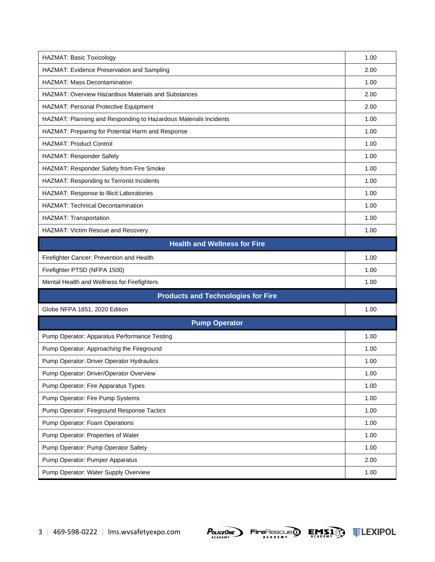| HAZMAT: Basic Toxicology                                         | 1.00 |
|------------------------------------------------------------------|------|
| HAZMAT: Evidence Preservation and Sampling                       | 2.00 |
| <b>HAZMAT: Mass Decontamination</b>                              | 1.00 |
| <b>HAZMAT: Overview Hazardous Materials and Substances</b>       | 2.00 |
| HAZMAT: Personal Protective Equipment                            | 2.00 |
| HAZMAT: Planning and Responding to Hazardous Materials Incidents | 1.00 |
| HAZMAT: Preparing for Potential Harm and Response                | 1.00 |
| <b>HAZMAT: Product Control</b>                                   | 1.00 |
| HAZMAT: Responder Safety                                         | 1.00 |
| HAZMAT: Responder Safety from Fire Smoke                         | 1.00 |
| HAZMAT: Responding to Terrorist Incidents                        | 1.00 |
| HAZMAT: Response to Illicit Laboratories                         | 1.00 |
| <b>HAZMAT: Technical Decontamination</b>                         | 1.00 |
| HAZMAT: Transportation                                           | 1.00 |
| HAZMAT: Victim Rescue and Recovery                               | 1.00 |
| <b>Health and Wellness for Fire</b>                              |      |
| Firefighter Cancer: Prevention and Health                        | 1.00 |
| Firefighter PTSD (NFPA 1500)                                     | 1.00 |
| Mental Health and Wellness for Firefighters                      | 1.00 |
| <b>Products and Technologies for Fire</b>                        |      |
| Globe NFPA 1851, 2020 Edition                                    | 1.00 |
| <b>Pump Operator</b>                                             |      |
| Pump Operator: Apparatus Performance Testing                     | 1.00 |
| Pump Operator: Approaching the Fireground                        | 1.00 |
| Pump Operator: Driver Operator Hydraulics                        | 1.00 |
| Pump Operator: Driver/Operator Overview                          | 1.00 |
| Pump Operator: Fire Apparatus Types                              | 1.00 |
| Pump Operator: Fire Pump Systems                                 | 1.00 |
| Pump Operator: Fireground Response Tactics                       | 1.00 |
| Pump Operator: Foam Operations                                   | 1.00 |
| Pump Operator: Properties of Water                               | 1.00 |
| Pump Operator: Pump Operator Safety                              | 1.00 |
| Pump Operator: Pumper Apparatus                                  | 2.00 |
| Pump Operator: Water Supply Overview                             | 1.00 |





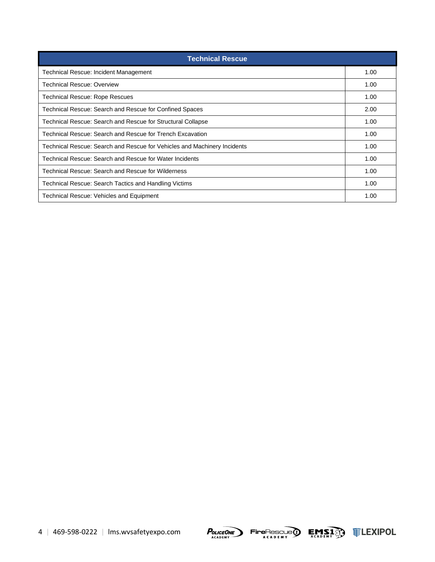| <b>Technical Rescue</b>                                                  |      |
|--------------------------------------------------------------------------|------|
| Technical Rescue: Incident Management                                    | 1.00 |
| <b>Technical Rescue: Overview</b>                                        | 1.00 |
| Technical Rescue: Rope Rescues                                           | 1.00 |
| Technical Rescue: Search and Rescue for Confined Spaces                  | 2.00 |
| Technical Rescue: Search and Rescue for Structural Collapse              | 1.00 |
| Technical Rescue: Search and Rescue for Trench Excavation                | 1.00 |
| Technical Rescue: Search and Rescue for Vehicles and Machinery Incidents | 1.00 |
| Technical Rescue: Search and Rescue for Water Incidents                  | 1.00 |
| Technical Rescue: Search and Rescue for Wilderness                       | 1.00 |
| Technical Rescue: Search Tactics and Handling Victims                    | 1.00 |
| Technical Rescue: Vehicles and Equipment                                 | 1.00 |







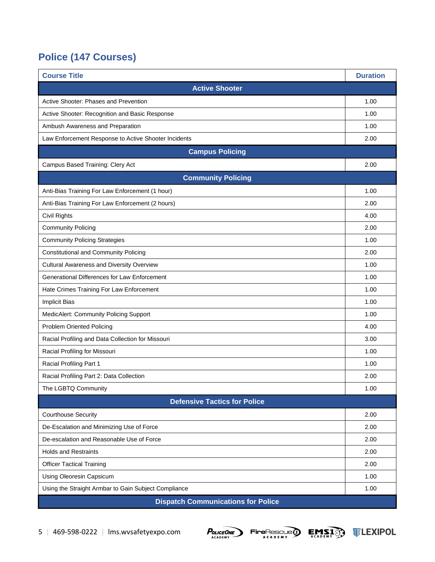### **Police (147 Courses)**

<span id="page-6-0"></span>

| <b>Course Title</b>                                  | <b>Duration</b> |  |
|------------------------------------------------------|-----------------|--|
| <b>Active Shooter</b>                                |                 |  |
| Active Shooter: Phases and Prevention                | 1.00            |  |
| Active Shooter: Recognition and Basic Response       | 1.00            |  |
| Ambush Awareness and Preparation                     | 1.00            |  |
| Law Enforcement Response to Active Shooter Incidents | 2.00            |  |
| <b>Campus Policing</b>                               |                 |  |
| Campus Based Training: Clery Act                     | 2.00            |  |
| <b>Community Policing</b>                            |                 |  |
| Anti-Bias Training For Law Enforcement (1 hour)      | 1.00            |  |
| Anti-Bias Training For Law Enforcement (2 hours)     | 2.00            |  |
| Civil Rights                                         | 4.00            |  |
| <b>Community Policing</b>                            | 2.00            |  |
| <b>Community Policing Strategies</b>                 | 1.00            |  |
| <b>Constitutional and Community Policing</b>         | 2.00            |  |
| <b>Cultural Awareness and Diversity Overview</b>     | 1.00            |  |
| Generational Differences for Law Enforcement         | 1.00            |  |
| Hate Crimes Training For Law Enforcement             | 1.00            |  |
| <b>Implicit Bias</b>                                 | 1.00            |  |
| MedicAlert: Community Policing Support               | 1.00            |  |
| <b>Problem Oriented Policing</b>                     | 4.00            |  |
| Racial Profiling and Data Collection for Missouri    | 3.00            |  |
| Racial Profiling for Missouri                        | 1.00            |  |
| Racial Profiling Part 1                              | 1.00            |  |
| Racial Profiling Part 2: Data Collection             | 2.00            |  |
| The LGBTQ Community                                  | 1.00            |  |
| <b>Defensive Tactics for Police</b>                  |                 |  |
| <b>Courthouse Security</b>                           | 2.00            |  |
| De-Escalation and Minimizing Use of Force            | 2.00            |  |
| De-escalation and Reasonable Use of Force            | 2.00            |  |
| <b>Holds and Restraints</b>                          | 2.00            |  |
| <b>Officer Tactical Training</b>                     | 2.00            |  |
| Using Oleoresin Capsicum                             | 1.00            |  |
| Using the Straight Armbar to Gain Subject Compliance | 1.00            |  |
| <b>Dispatch Communications for Police</b>            |                 |  |





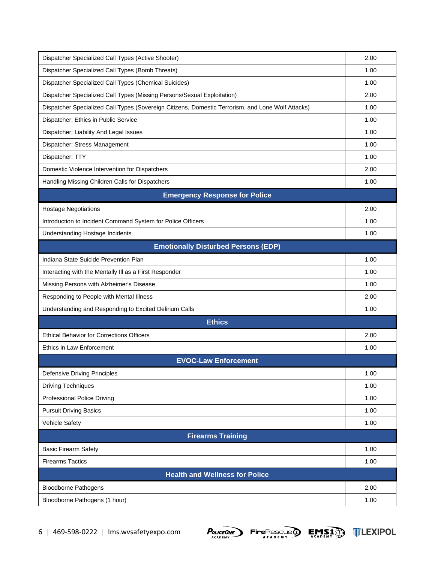| Dispatcher Specialized Call Types (Active Shooter)                                                | 2.00 |
|---------------------------------------------------------------------------------------------------|------|
| Dispatcher Specialized Call Types (Bomb Threats)                                                  | 1.00 |
| Dispatcher Specialized Call Types (Chemical Suicides)                                             | 1.00 |
| Dispatcher Specialized Call Types (Missing Persons/Sexual Exploitation)                           | 2.00 |
| Dispatcher Specialized Call Types (Sovereign Citizens, Domestic Terrorism, and Lone Wolf Attacks) | 1.00 |
| Dispatcher: Ethics in Public Service                                                              | 1.00 |
| Dispatcher: Liability And Legal Issues                                                            | 1.00 |
| Dispatcher: Stress Management                                                                     | 1.00 |
| Dispatcher: TTY                                                                                   | 1.00 |
| Domestic Violence Intervention for Dispatchers                                                    | 2.00 |
| Handling Missing Children Calls for Dispatchers                                                   | 1.00 |
| <b>Emergency Response for Police</b>                                                              |      |
| <b>Hostage Negotiations</b>                                                                       | 2.00 |
| Introduction to Incident Command System for Police Officers                                       | 1.00 |
| Understanding Hostage Incidents                                                                   | 1.00 |
| <b>Emotionally Disturbed Persons (EDP)</b>                                                        |      |
| Indiana State Suicide Prevention Plan                                                             | 1.00 |
| Interacting with the Mentally III as a First Responder                                            | 1.00 |
| Missing Persons with Alzheimer's Disease                                                          | 1.00 |
| Responding to People with Mental Illness                                                          | 2.00 |
| Understanding and Responding to Excited Delirium Calls                                            | 1.00 |
| <b>Ethics</b>                                                                                     |      |
| <b>Ethical Behavior for Corrections Officers</b>                                                  | 2.00 |
| Ethics in Law Enforcement                                                                         | 1.00 |
| <b>EVOC-Law Enforcement</b>                                                                       |      |
| <b>Defensive Driving Principles</b>                                                               | 1.00 |
| <b>Driving Techniques</b>                                                                         | 1.00 |
| Professional Police Driving                                                                       | 1.00 |
| <b>Pursuit Driving Basics</b>                                                                     | 1.00 |
| Vehicle Safety                                                                                    | 1.00 |
| <b>Firearms Training</b>                                                                          |      |
| <b>Basic Firearm Safety</b>                                                                       | 1.00 |
| <b>Firearms Tactics</b>                                                                           | 1.00 |
| <b>Health and Wellness for Police</b>                                                             |      |
| <b>Bloodborne Pathogens</b>                                                                       | 2.00 |
| Bloodborne Pathogens (1 hour)                                                                     | 1.00 |





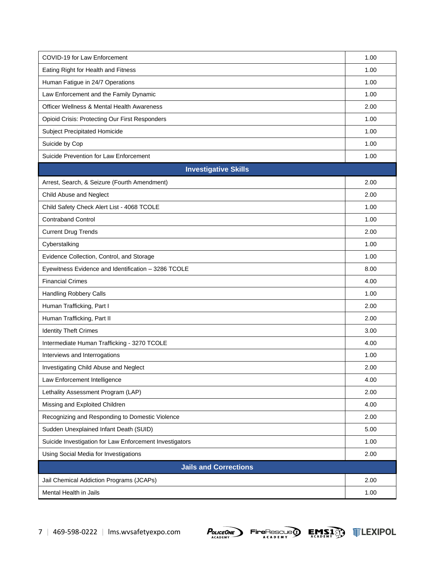| COVID-19 for Law Enforcement                            | 1.00 |
|---------------------------------------------------------|------|
| Eating Right for Health and Fitness                     | 1.00 |
| Human Fatigue in 24/7 Operations                        | 1.00 |
| Law Enforcement and the Family Dynamic                  | 1.00 |
| <b>Officer Wellness &amp; Mental Health Awareness</b>   | 2.00 |
| Opioid Crisis: Protecting Our First Responders          | 1.00 |
| Subject Precipitated Homicide                           | 1.00 |
| Suicide by Cop                                          | 1.00 |
| Suicide Prevention for Law Enforcement                  | 1.00 |
| <b>Investigative Skills</b>                             |      |
| Arrest, Search, & Seizure (Fourth Amendment)            | 2.00 |
| Child Abuse and Neglect                                 | 2.00 |
| Child Safety Check Alert List - 4068 TCOLE              | 1.00 |
| <b>Contraband Control</b>                               | 1.00 |
| <b>Current Drug Trends</b>                              | 2.00 |
| Cyberstalking                                           | 1.00 |
| Evidence Collection, Control, and Storage               | 1.00 |
| Eyewitness Evidence and Identification - 3286 TCOLE     | 8.00 |
| <b>Financial Crimes</b>                                 | 4.00 |
| Handling Robbery Calls                                  | 1.00 |
| Human Trafficking, Part I                               | 2.00 |
| Human Trafficking, Part II                              | 2.00 |
| <b>Identity Theft Crimes</b>                            | 3.00 |
| Intermediate Human Trafficking - 3270 TCOLE             | 4.00 |
| Interviews and Interrogations                           | 1.00 |
| Investigating Child Abuse and Neglect                   | 2.00 |
| Law Enforcement Intelligence                            | 4.00 |
| Lethality Assessment Program (LAP)                      | 2.00 |
| Missing and Exploited Children                          | 4.00 |
| Recognizing and Responding to Domestic Violence         | 2.00 |
| Sudden Unexplained Infant Death (SUID)                  | 5.00 |
| Suicide Investigation for Law Enforcement Investigators | 1.00 |
| Using Social Media for Investigations                   | 2.00 |
| <b>Jails and Corrections</b>                            |      |
| Jail Chemical Addiction Programs (JCAPs)                | 2.00 |
| Mental Health in Jails                                  | 1.00 |





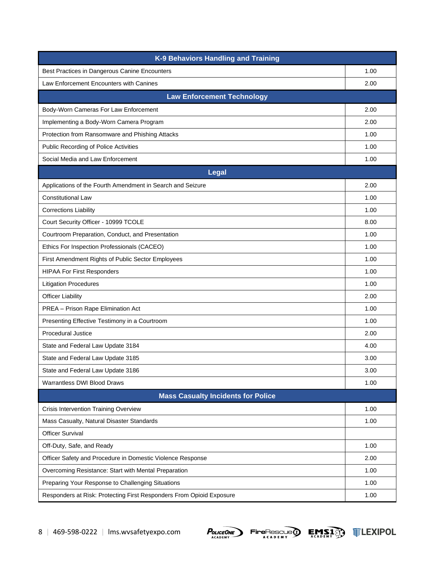| K-9 Behaviors Handling and Training                                  |      |
|----------------------------------------------------------------------|------|
| Best Practices in Dangerous Canine Encounters                        | 1.00 |
| Law Enforcement Encounters with Canines                              | 2.00 |
| <b>Law Enforcement Technology</b>                                    |      |
| Body-Worn Cameras For Law Enforcement                                | 2.00 |
| Implementing a Body-Worn Camera Program                              | 2.00 |
| Protection from Ransomware and Phishing Attacks                      | 1.00 |
| Public Recording of Police Activities                                | 1.00 |
| Social Media and Law Enforcement                                     | 1.00 |
| <b>Legal</b>                                                         |      |
| Applications of the Fourth Amendment in Search and Seizure           | 2.00 |
| <b>Constitutional Law</b>                                            | 1.00 |
| <b>Corrections Liability</b>                                         | 1.00 |
| Court Security Officer - 10999 TCOLE                                 | 8.00 |
| Courtroom Preparation, Conduct, and Presentation                     | 1.00 |
| Ethics For Inspection Professionals (CACEO)                          | 1.00 |
| First Amendment Rights of Public Sector Employees                    | 1.00 |
| <b>HIPAA For First Responders</b>                                    | 1.00 |
| <b>Litigation Procedures</b>                                         | 1.00 |
| <b>Officer Liability</b>                                             | 2.00 |
| PREA - Prison Rape Elimination Act                                   | 1.00 |
| Presenting Effective Testimony in a Courtroom                        | 1.00 |
| Procedural Justice                                                   | 2.00 |
| State and Federal Law Update 3184                                    | 4.00 |
| State and Federal Law Update 3185                                    | 3.00 |
| State and Federal Law Update 3186                                    | 3.00 |
| <b>Warrantless DWI Blood Draws</b>                                   | 1.00 |
| <b>Mass Casualty Incidents for Police</b>                            |      |
| Crisis Intervention Training Overview                                | 1.00 |
| Mass Casualty, Natural Disaster Standards                            | 1.00 |
| <b>Officer Survival</b>                                              |      |
| Off-Duty, Safe, and Ready                                            | 1.00 |
| Officer Safety and Procedure in Domestic Violence Response           | 2.00 |
| Overcoming Resistance: Start with Mental Preparation                 | 1.00 |
| Preparing Your Response to Challenging Situations                    | 1.00 |
| Responders at Risk: Protecting First Responders From Opioid Exposure | 1.00 |



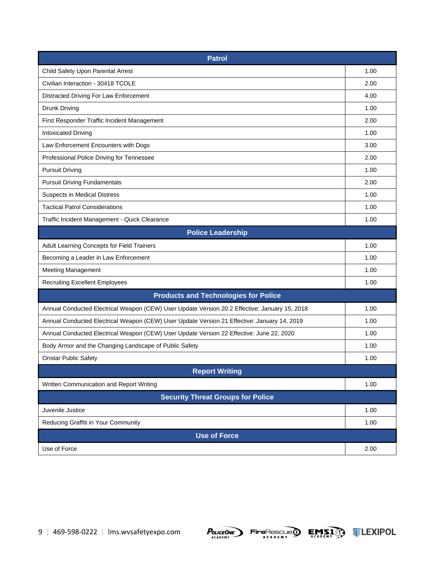| <b>Patrol</b>                                                                                 |      |  |
|-----------------------------------------------------------------------------------------------|------|--|
| Child Safety Upon Parental Arrest                                                             | 1.00 |  |
| Civilian Interaction - 30418 TCOLE                                                            | 2.00 |  |
| Distracted Driving For Law Enforcement                                                        | 4.00 |  |
| <b>Drunk Driving</b>                                                                          | 1.00 |  |
| First Responder Traffic Incident Management                                                   | 2.00 |  |
| <b>Intoxicated Driving</b>                                                                    | 1.00 |  |
| Law Enforcement Encounters with Dogs                                                          | 3.00 |  |
| Professional Police Driving for Tennessee                                                     | 2.00 |  |
| <b>Pursuit Driving</b>                                                                        | 1.00 |  |
| <b>Pursuit Driving Fundamentals</b>                                                           | 2.00 |  |
| <b>Suspects in Medical Distress</b>                                                           | 1.00 |  |
| <b>Tactical Patrol Considerations</b>                                                         | 1.00 |  |
| Traffic Incident Management - Quick Clearance                                                 | 1.00 |  |
| <b>Police Leadership</b>                                                                      |      |  |
| Adult Learning Concepts for Field Trainers                                                    | 1.00 |  |
| Becoming a Leader in Law Enforcement                                                          | 1.00 |  |
| <b>Meeting Management</b>                                                                     | 1.00 |  |
| <b>Recruiting Excellent Employees</b>                                                         | 1.00 |  |
| <b>Products and Technologies for Police</b>                                                   |      |  |
| Annual Conducted Electrical Weapon (CEW) User Update Version 20.2 Effective: January 15, 2018 | 1.00 |  |
| Annual Conducted Electrical Weapon (CEW) User Update Version 21 Effective: January 14, 2019   | 1.00 |  |
| Annual Conducted Electrical Weapon (CEW) User Update Version 22 Effective: June 22, 2020      | 1.00 |  |
| Body Armor and the Changing Landscape of Public Safety                                        | 1.00 |  |
| <b>Onstar Public Safety</b>                                                                   | 1.00 |  |
| <b>Report Writing</b>                                                                         |      |  |
| Written Communication and Report Writing                                                      | 1.00 |  |
| <b>Security Threat Groups for Police</b>                                                      |      |  |
| Juvenile Justice                                                                              | 1.00 |  |
| Reducing Graffiti in Your Community                                                           | 1.00 |  |
| <b>Use of Force</b>                                                                           |      |  |
| Use of Force                                                                                  | 2.00 |  |





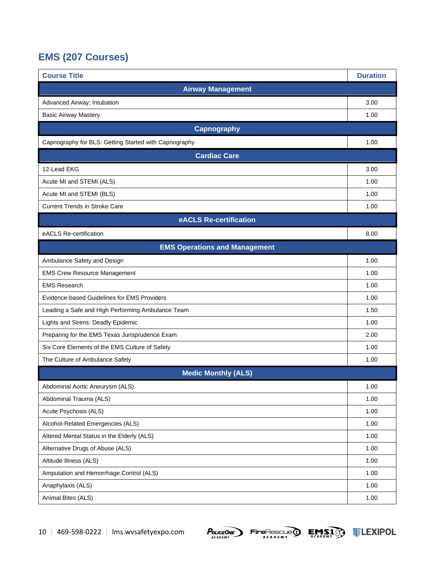### <span id="page-11-0"></span>**EMS (207 Courses)**

| <b>Course Title</b>                                   | <b>Duration</b> |
|-------------------------------------------------------|-----------------|
| <b>Airway Management</b>                              |                 |
| Advanced Airway: Intubation                           | 3.00            |
| <b>Basic Airway Mastery</b>                           | 1.00            |
| <b>Capnography</b>                                    |                 |
| Capnography for BLS: Getting Started with Capnography | 1.00            |
| <b>Cardiac Care</b>                                   |                 |
| 12-Lead EKG                                           | 3.00            |
| Acute MI and STEMI (ALS)                              | 1.00            |
| Acute MI and STEMI (BLS)                              | 1.00            |
| <b>Current Trends in Stroke Care</b>                  | 1.00            |
| eACLS Re-certification                                |                 |
| eACLS Re-certification                                | 8.00            |
| <b>EMS Operations and Management</b>                  |                 |
| Ambulance Safety and Design                           | 1.00            |
| <b>EMS Crew Resource Management</b>                   | 1.00            |
| <b>EMS Research</b>                                   | 1.00            |
| Evidence-based Guidelines for EMS Providers           | 1.00            |
| Leading a Safe and High Performing Ambulance Team     | 1.50            |
| Lights and Sirens: Deadly Epidemic                    | 1.00            |
| Preparing for the EMS Texas Jurisprudence Exam        | 2.00            |
| Six Core Elements of the EMS Culture of Safety        | 1.00            |
| The Culture of Ambulance Safety                       | 1.00            |
| <b>Medic Monthly (ALS)</b>                            |                 |
| Abdominal Aortic Aneurysm (ALS)                       | 1.00            |
| Abdominal Trauma (ALS)                                | 1.00            |
| Acute Psychosis (ALS)                                 | 1.00            |
| Alcohol-Related Emergencies (ALS)                     | 1.00            |
| Altered Mental Status in the Elderly (ALS)            | 1.00            |
| Alternative Drugs of Abuse (ALS)                      | 1.00            |
| Altitude Illness (ALS)                                | 1.00            |
| Amputation and Hemorrhage Control (ALS)               | 1.00            |
| Anaphylaxis (ALS)                                     | 1.00            |
| Animal Bites (ALS)                                    | 1.00            |





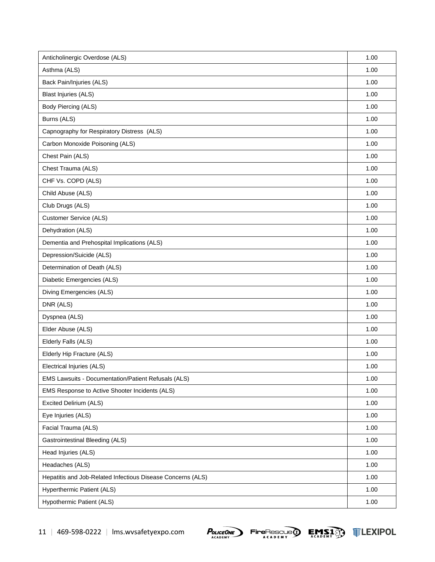| Anticholinergic Overdose (ALS)                              | 1.00 |
|-------------------------------------------------------------|------|
| Asthma (ALS)                                                | 1.00 |
| Back Pain/Injuries (ALS)                                    | 1.00 |
| <b>Blast Injuries (ALS)</b>                                 | 1.00 |
| Body Piercing (ALS)                                         | 1.00 |
| Burns (ALS)                                                 | 1.00 |
| Capnography for Respiratory Distress (ALS)                  | 1.00 |
| Carbon Monoxide Poisoning (ALS)                             | 1.00 |
| Chest Pain (ALS)                                            | 1.00 |
| Chest Trauma (ALS)                                          | 1.00 |
| CHF Vs. COPD (ALS)                                          | 1.00 |
| Child Abuse (ALS)                                           | 1.00 |
| Club Drugs (ALS)                                            | 1.00 |
| <b>Customer Service (ALS)</b>                               | 1.00 |
| Dehydration (ALS)                                           | 1.00 |
| Dementia and Prehospital Implications (ALS)                 | 1.00 |
| Depression/Suicide (ALS)                                    | 1.00 |
| Determination of Death (ALS)                                | 1.00 |
| Diabetic Emergencies (ALS)                                  | 1.00 |
| Diving Emergencies (ALS)                                    | 1.00 |
| DNR (ALS)                                                   | 1.00 |
| Dyspnea (ALS)                                               | 1.00 |
| Elder Abuse (ALS)                                           | 1.00 |
| Elderly Falls (ALS)                                         | 1.00 |
| Elderly Hip Fracture (ALS)                                  | 1.00 |
| Electrical Injuries (ALS)                                   | 1.00 |
| EMS Lawsuits - Documentation/Patient Refusals (ALS)         | 1.00 |
| EMS Response to Active Shooter Incidents (ALS)              | 1.00 |
| Excited Delirium (ALS)                                      | 1.00 |
| Eye Injuries (ALS)                                          | 1.00 |
| Facial Trauma (ALS)                                         | 1.00 |
| <b>Gastrointestinal Bleeding (ALS)</b>                      | 1.00 |
| Head Injuries (ALS)                                         | 1.00 |
| Headaches (ALS)                                             | 1.00 |
| Hepatitis and Job-Related Infectious Disease Concerns (ALS) | 1.00 |
| Hyperthermic Patient (ALS)                                  | 1.00 |
| Hypothermic Patient (ALS)                                   | 1.00 |



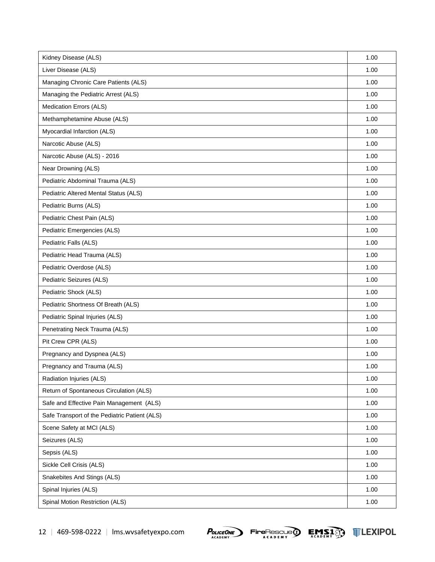| Kidney Disease (ALS)                          | 1.00 |
|-----------------------------------------------|------|
| Liver Disease (ALS)                           | 1.00 |
| Managing Chronic Care Patients (ALS)          | 1.00 |
| Managing the Pediatric Arrest (ALS)           | 1.00 |
| Medication Errors (ALS)                       | 1.00 |
| Methamphetamine Abuse (ALS)                   | 1.00 |
| Myocardial Infarction (ALS)                   | 1.00 |
| Narcotic Abuse (ALS)                          | 1.00 |
| Narcotic Abuse (ALS) - 2016                   | 1.00 |
| Near Drowning (ALS)                           | 1.00 |
| Pediatric Abdominal Trauma (ALS)              | 1.00 |
| Pediatric Altered Mental Status (ALS)         | 1.00 |
| Pediatric Burns (ALS)                         | 1.00 |
| Pediatric Chest Pain (ALS)                    | 1.00 |
| Pediatric Emergencies (ALS)                   | 1.00 |
| Pediatric Falls (ALS)                         | 1.00 |
| Pediatric Head Trauma (ALS)                   | 1.00 |
| Pediatric Overdose (ALS)                      | 1.00 |
| Pediatric Seizures (ALS)                      | 1.00 |
| Pediatric Shock (ALS)                         | 1.00 |
| Pediatric Shortness Of Breath (ALS)           | 1.00 |
| Pediatric Spinal Injuries (ALS)               | 1.00 |
| Penetrating Neck Trauma (ALS)                 | 1.00 |
| Pit Crew CPR (ALS)                            | 1.00 |
| Pregnancy and Dyspnea (ALS)                   | 1.00 |
| Pregnancy and Trauma (ALS)                    | 1.00 |
| Radiation Injuries (ALS)                      | 1.00 |
| Return of Spontaneous Circulation (ALS)       | 1.00 |
| Safe and Effective Pain Management (ALS)      | 1.00 |
| Safe Transport of the Pediatric Patient (ALS) | 1.00 |
| Scene Safety at MCI (ALS)                     | 1.00 |
| Seizures (ALS)                                | 1.00 |
| Sepsis (ALS)                                  | 1.00 |
| Sickle Cell Crisis (ALS)                      | 1.00 |
| Snakebites And Stings (ALS)                   | 1.00 |
| Spinal Injuries (ALS)                         | 1.00 |
| Spinal Motion Restriction (ALS)               | 1.00 |





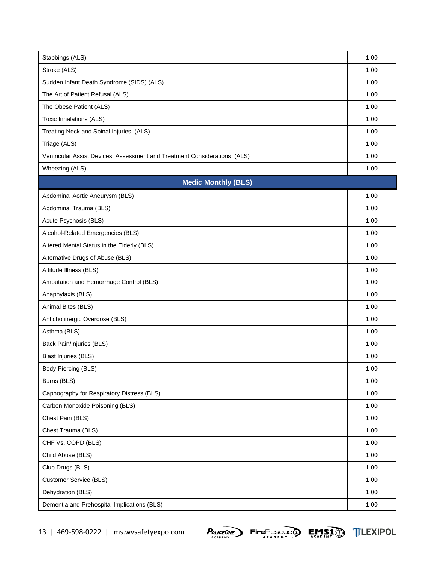| Stabbings (ALS)                                                           | 1.00 |
|---------------------------------------------------------------------------|------|
| Stroke (ALS)                                                              | 1.00 |
| Sudden Infant Death Syndrome (SIDS) (ALS)                                 | 1.00 |
| The Art of Patient Refusal (ALS)                                          | 1.00 |
| The Obese Patient (ALS)                                                   | 1.00 |
| Toxic Inhalations (ALS)                                                   | 1.00 |
| Treating Neck and Spinal Injuries (ALS)                                   | 1.00 |
| Triage (ALS)                                                              | 1.00 |
| Ventricular Assist Devices: Assessment and Treatment Considerations (ALS) | 1.00 |
| Wheezing (ALS)                                                            | 1.00 |
| <b>Medic Monthly (BLS)</b>                                                |      |
| Abdominal Aortic Aneurysm (BLS)                                           | 1.00 |
| Abdominal Trauma (BLS)                                                    | 1.00 |
| Acute Psychosis (BLS)                                                     | 1.00 |
| Alcohol-Related Emergencies (BLS)                                         | 1.00 |
| Altered Mental Status in the Elderly (BLS)                                | 1.00 |
| Alternative Drugs of Abuse (BLS)                                          | 1.00 |
| Altitude Illness (BLS)                                                    | 1.00 |
| Amputation and Hemorrhage Control (BLS)                                   | 1.00 |
| Anaphylaxis (BLS)                                                         | 1.00 |
| Animal Bites (BLS)                                                        | 1.00 |
| Anticholinergic Overdose (BLS)                                            | 1.00 |
| Asthma (BLS)                                                              | 1.00 |
| Back Pain/Injuries (BLS)                                                  | 1.00 |
| <b>Blast Injuries (BLS)</b>                                               | 1.00 |
| Body Piercing (BLS)                                                       | 1.00 |
| Burns (BLS)                                                               | 1.00 |
| Capnography for Respiratory Distress (BLS)                                | 1.00 |
| Carbon Monoxide Poisoning (BLS)                                           | 1.00 |
| Chest Pain (BLS)                                                          | 1.00 |
| Chest Trauma (BLS)                                                        | 1.00 |
| CHF Vs. COPD (BLS)                                                        | 1.00 |
| Child Abuse (BLS)                                                         | 1.00 |
| Club Drugs (BLS)                                                          | 1.00 |
| <b>Customer Service (BLS)</b>                                             | 1.00 |
| Dehydration (BLS)                                                         | 1.00 |
| Dementia and Prehospital Implications (BLS)                               | 1.00 |



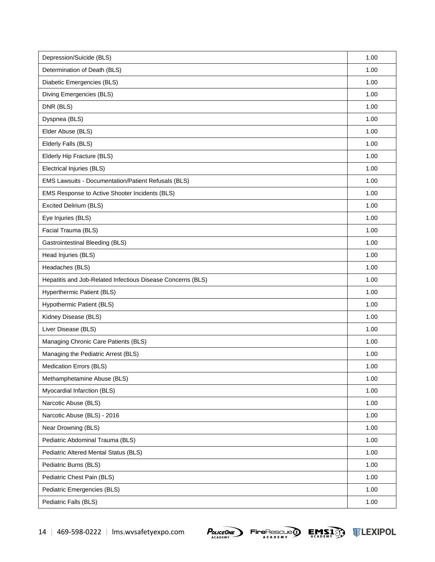| Depression/Suicide (BLS)                                    | 1.00 |
|-------------------------------------------------------------|------|
| Determination of Death (BLS)                                | 1.00 |
| Diabetic Emergencies (BLS)                                  | 1.00 |
| Diving Emergencies (BLS)                                    | 1.00 |
| DNR (BLS)                                                   | 1.00 |
| Dyspnea (BLS)                                               | 1.00 |
| Elder Abuse (BLS)                                           | 1.00 |
| Elderly Falls (BLS)                                         | 1.00 |
| Elderly Hip Fracture (BLS)                                  | 1.00 |
| Electrical Injuries (BLS)                                   | 1.00 |
| EMS Lawsuits - Documentation/Patient Refusals (BLS)         | 1.00 |
| EMS Response to Active Shooter Incidents (BLS)              | 1.00 |
| Excited Delirium (BLS)                                      | 1.00 |
| Eye Injuries (BLS)                                          | 1.00 |
| Facial Trauma (BLS)                                         | 1.00 |
| <b>Gastrointestinal Bleeding (BLS)</b>                      | 1.00 |
| Head Injuries (BLS)                                         | 1.00 |
| Headaches (BLS)                                             | 1.00 |
| Hepatitis and Job-Related Infectious Disease Concerns (BLS) | 1.00 |
| Hyperthermic Patient (BLS)                                  | 1.00 |
| Hypothermic Patient (BLS)                                   | 1.00 |
| Kidney Disease (BLS)                                        | 1.00 |
| Liver Disease (BLS)                                         | 1.00 |
| Managing Chronic Care Patients (BLS)                        | 1.00 |
| Managing the Pediatric Arrest (BLS)                         | 1.00 |
| Medication Errors (BLS)                                     | 1.00 |
| Methamphetamine Abuse (BLS)                                 | 1.00 |
| Myocardial Infarction (BLS)                                 | 1.00 |
| Narcotic Abuse (BLS)                                        | 1.00 |
| Narcotic Abuse (BLS) - 2016                                 | 1.00 |
| Near Drowning (BLS)                                         | 1.00 |
| Pediatric Abdominal Trauma (BLS)                            | 1.00 |
| Pediatric Altered Mental Status (BLS)                       | 1.00 |
| Pediatric Burns (BLS)                                       | 1.00 |
| Pediatric Chest Pain (BLS)                                  | 1.00 |
| Pediatric Emergencies (BLS)                                 | 1.00 |
| Pediatric Falls (BLS)                                       | 1.00 |



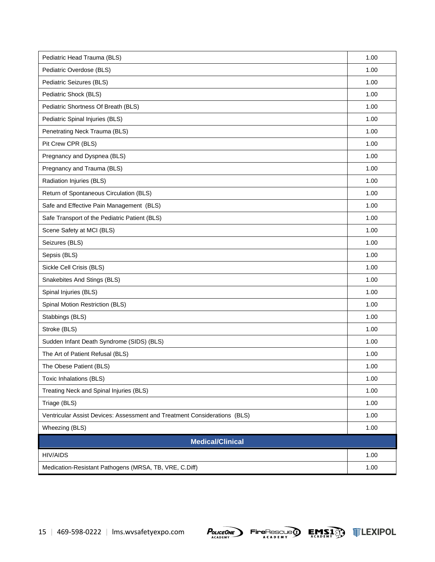| Pediatric Head Trauma (BLS)                                               | 1.00 |  |
|---------------------------------------------------------------------------|------|--|
| Pediatric Overdose (BLS)                                                  | 1.00 |  |
| Pediatric Seizures (BLS)                                                  | 1.00 |  |
| Pediatric Shock (BLS)                                                     | 1.00 |  |
| Pediatric Shortness Of Breath (BLS)                                       | 1.00 |  |
| Pediatric Spinal Injuries (BLS)                                           | 1.00 |  |
| Penetrating Neck Trauma (BLS)                                             | 1.00 |  |
| Pit Crew CPR (BLS)                                                        | 1.00 |  |
| Pregnancy and Dyspnea (BLS)                                               | 1.00 |  |
| Pregnancy and Trauma (BLS)                                                | 1.00 |  |
| Radiation Injuries (BLS)                                                  | 1.00 |  |
| Return of Spontaneous Circulation (BLS)                                   | 1.00 |  |
| Safe and Effective Pain Management (BLS)                                  | 1.00 |  |
| Safe Transport of the Pediatric Patient (BLS)                             | 1.00 |  |
| Scene Safety at MCI (BLS)                                                 | 1.00 |  |
| Seizures (BLS)                                                            | 1.00 |  |
| Sepsis (BLS)                                                              | 1.00 |  |
| Sickle Cell Crisis (BLS)                                                  | 1.00 |  |
| Snakebites And Stings (BLS)                                               | 1.00 |  |
| Spinal Injuries (BLS)                                                     | 1.00 |  |
| Spinal Motion Restriction (BLS)                                           | 1.00 |  |
| Stabbings (BLS)                                                           | 1.00 |  |
| Stroke (BLS)                                                              | 1.00 |  |
| Sudden Infant Death Syndrome (SIDS) (BLS)                                 | 1.00 |  |
| The Art of Patient Refusal (BLS)                                          | 1.00 |  |
| The Obese Patient (BLS)                                                   | 1.00 |  |
| Toxic Inhalations (BLS)                                                   | 1.00 |  |
| Treating Neck and Spinal Injuries (BLS)                                   | 1.00 |  |
| Triage (BLS)                                                              | 1.00 |  |
| Ventricular Assist Devices: Assessment and Treatment Considerations (BLS) | 1.00 |  |
| Wheezing (BLS)                                                            | 1.00 |  |
| <b>Medical/Clinical</b>                                                   |      |  |
| <b>HIV/AIDS</b>                                                           | 1.00 |  |
| Medication-Resistant Pathogens (MRSA, TB, VRE, C.Diff)                    | 1.00 |  |





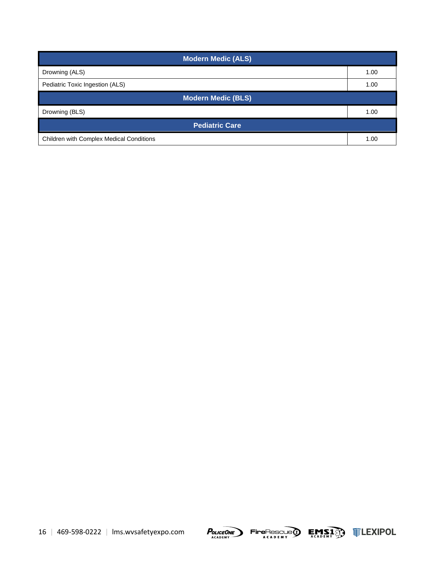| <b>Modern Medic (ALS)</b>                       |      |  |
|-------------------------------------------------|------|--|
| Drowning (ALS)                                  | 1.00 |  |
| Pediatric Toxic Ingestion (ALS)                 | 1.00 |  |
| <b>Modern Medic (BLS)</b>                       |      |  |
| Drowning (BLS)                                  | 1.00 |  |
| <b>Pediatric Care</b>                           |      |  |
| <b>Children with Complex Medical Conditions</b> | 1.00 |  |